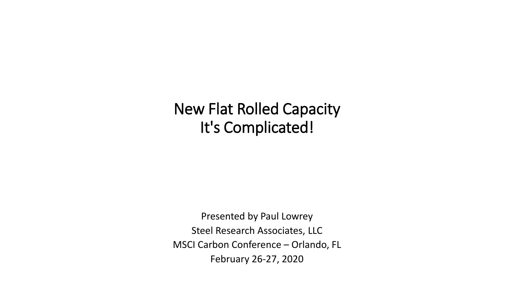# New Flat Rolled Capacity It's Complicated!

Presented by Paul Lowrey Steel Research Associates, LLC MSCI Carbon Conference – Orlando, FL February 26-27, 2020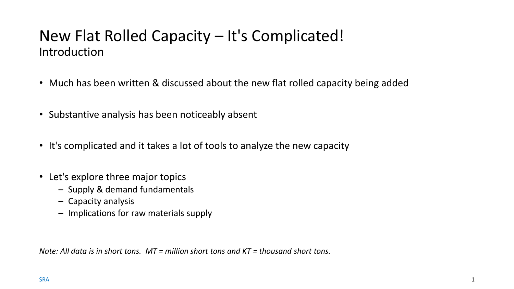## New Flat Rolled Capacity – It's Complicated! Introduction

- Much has been written & discussed about the new flat rolled capacity being added
- Substantive analysis has been noticeably absent
- It's complicated and it takes a lot of tools to analyze the new capacity
- Let's explore three major topics
	- Supply & demand fundamentals
	- Capacity analysis
	- Implications for raw materials supply

*Note: All data is in short tons. MT = million short tons and KT = thousand short tons.*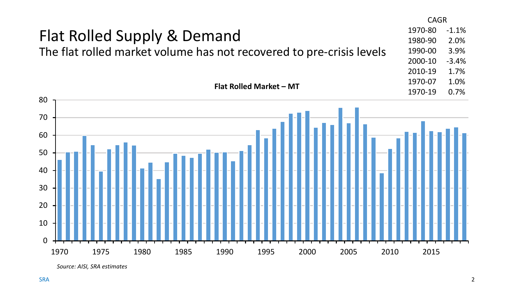

*Source: AISI, SRA estimates*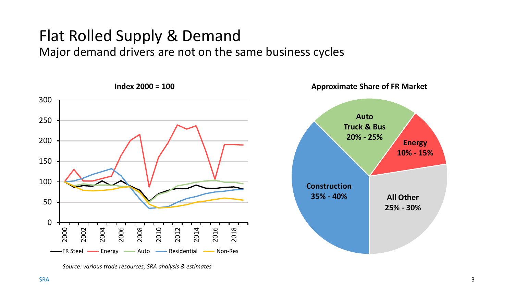# Flat Rolled Supply & Demand

Major demand drivers are not on the same business cycles



*Source: various trade resources, SRA analysis & estimates*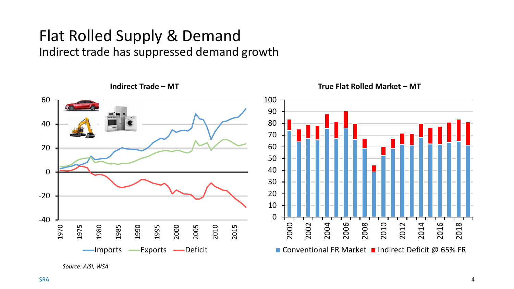# Flat Rolled Supply & Demand

Indirect trade has suppressed demand growth



*Source: AISI, WSA*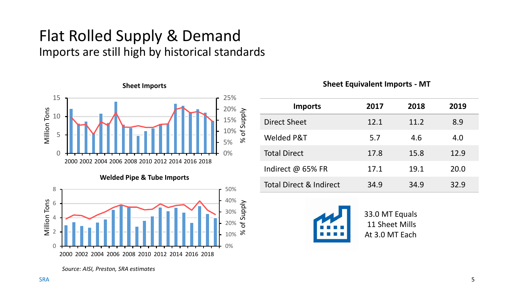## Flat Rolled Supply & Demand Imports are still high by historical standards



**Welded Pipe & Tube Imports**



**Sheet Equivalent Imports - MT**

| <b>Imports</b>                     | 2017 | 2018 | 2019 |
|------------------------------------|------|------|------|
| <b>Direct Sheet</b>                | 12.1 | 11.2 | 8.9  |
| Welded P&T                         | 5.7  | 4.6  | 4.0  |
| <b>Total Direct</b>                | 17.8 | 15.8 | 12.9 |
| Indirect @ 65% FR                  | 17.1 | 19.1 | 20.0 |
| <b>Total Direct &amp; Indirect</b> | 34.9 | 34.9 | 32.9 |



33.0 MT Equals 11 Sheet Mills At 3.0 MT Each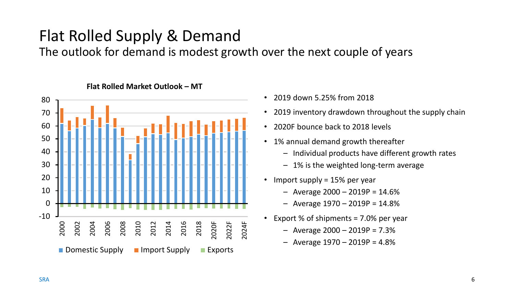# Flat Rolled Supply & Demand

The outlook for demand is modest growth over the next couple of years



#### **Flat Rolled Market Outlook – MT**

- 2019 down 5.25% from 2018
- 2019 inventory drawdown throughout the supply chain
- 2020F bounce back to 2018 levels
- 1% annual demand growth thereafter
	- Individual products have different growth rates
	- 1% is the weighted long-term average
- Import supply = 15% per year
	- $-$  Average 2000  $-$  2019P = 14.6%
	- Average 1970 2019P = 14.8%
- Export % of shipments = 7.0% per year
	- $-$  Average 2000  $-$  2019P = 7.3%
	- $-$  Average 1970  $-$  2019P = 4.8%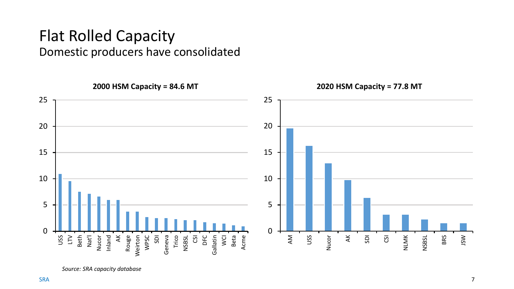#### Flat Rolled Capacity Domestic producers have consolidated

**2000 HSM Capacity = 84.6 MT 2020 HSM Capacity = 77.8 MT** 25 25 20 20 15 15 10 10 5 5 0 0 Nucor Inland Rouge Weirton WPSC Gallatin USS AK USS LTV Beth Nat'l AK SDI Geneva Trico NSBSL  $\overline{c}$ DFC WCI Beta Acme AM Nucor SDI CSI NLMK NSBSL Nucor

*Source: SRA capacity database*

JSW

BRS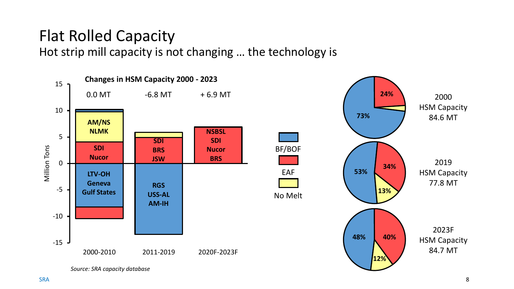# Flat Rolled Capacity

Hot strip mill capacity is not changing … the technology is





*Source: SRA capacity database*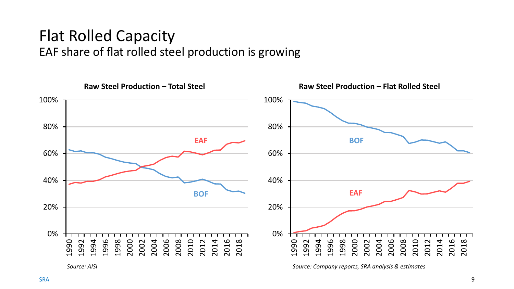## Flat Rolled Capacity EAF share of flat rolled steel production is growing

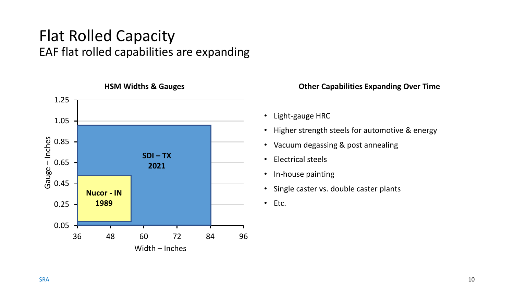## Flat Rolled Capacity EAF flat rolled capabilities are expanding



#### **HSM Widths & Gauges**

#### **Other Capabilities Expanding Over Time**

- Light-gauge HRC
- Higher strength steels for automotive & energy
- Vacuum degassing & post annealing
- Electrical steels
- In-house painting
- Single caster vs. double caster plants
- Etc.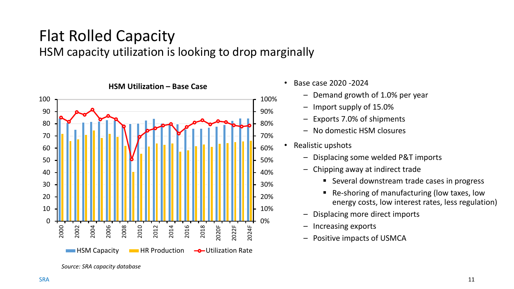# Flat Rolled Capacity

HSM capacity utilization is looking to drop marginally



- Base case 2020 -2024
	- Demand growth of 1.0% per year
	- Import supply of 15.0%
	- Exports 7.0% of shipments
	- No domestic HSM closures
- Realistic upshots
	- Displacing some welded P&T imports
	- Chipping away at indirect trade
		- Several downstream trade cases in progress
		- Re-shoring of manufacturing (low taxes, low energy costs, low interest rates, less regulation)
	- Displacing more direct imports
	- Increasing exports
	- Positive impacts of USMCA

*Source: SRA capacity database*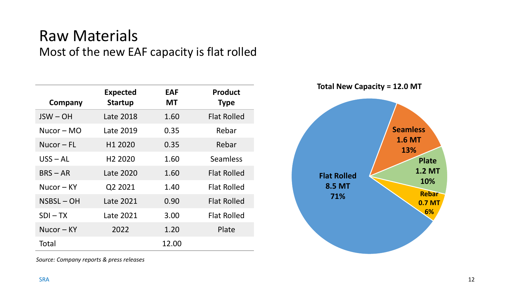### Raw Materials Most of the new EAF capacity is flat rolled

| Company       | <b>Expected</b><br><b>Startup</b> | <b>EAF</b><br><b>MT</b> | <b>Product</b><br><b>Type</b> |
|---------------|-----------------------------------|-------------------------|-------------------------------|
| $JSW - OH$    | Late 2018                         | 1.60                    | <b>Flat Rolled</b>            |
| $Nucor - MO$  | Late 2019                         | 0.35                    | Rebar                         |
| $Nucor - FL$  | H1 2020                           | 0.35                    | Rebar                         |
| $USS - AL$    | H <sub>2</sub> 2020               | 1.60                    | Seamless                      |
| $BRS - AR$    | Late 2020                         | 1.60                    | <b>Flat Rolled</b>            |
| $Nuccor - KY$ | Q2 2021                           | 1.40                    | <b>Flat Rolled</b>            |
| $NSBSL - OH$  | Late 2021                         | 0.90                    | <b>Flat Rolled</b>            |
| $SDI - TX$    | Late 2021                         | 3.00                    | <b>Flat Rolled</b>            |
| $Nuccor - KY$ | 2022                              | 1.20                    | Plate                         |
| Total         |                                   | 12.00                   |                               |



*Source: Company reports & press releases*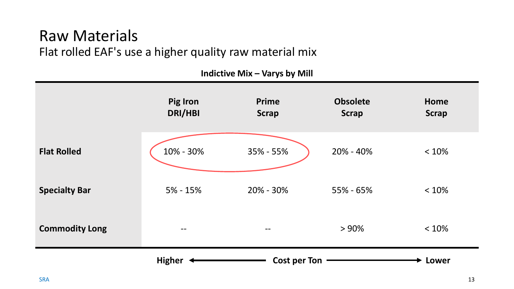#### Raw Materials Flat rolled EAF's use a higher quality raw material mix

| $\cdots$ $\cdots$ $\cdots$ $\cdots$ |                     |                              |                                 |                      |  |  |  |
|-------------------------------------|---------------------|------------------------------|---------------------------------|----------------------|--|--|--|
|                                     | Pig Iron<br>DRI/HBI | <b>Prime</b><br><b>Scrap</b> | <b>Obsolete</b><br><b>Scrap</b> | Home<br><b>Scrap</b> |  |  |  |
| <b>Flat Rolled</b>                  | 10% - 30%           | 35% - 55%                    | 20% - 40%                       | < 10%                |  |  |  |
| <b>Specialty Bar</b>                | $5% - 15%$          | 20% - 30%                    | 55% - 65%                       | < 10%                |  |  |  |
| <b>Commodity Long</b>               | $\qquad \qquad -$   | $\overline{\phantom{m}}$     | > 90%                           | < 10%                |  |  |  |
|                                     | <b>Lower</b>        |                              |                                 |                      |  |  |  |

**Indictive Mix – Varys by Mill**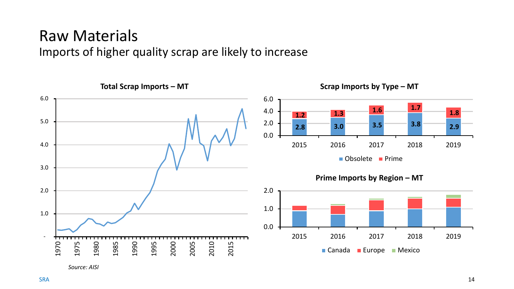## Raw Materials

Imports of higher quality scrap are likely to increase



*Source: AISI*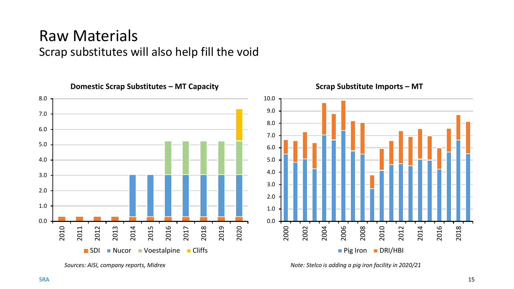### Raw Materials Scrap substitutes will also help fill the void



*Sources: AISI, company reports, Midrex*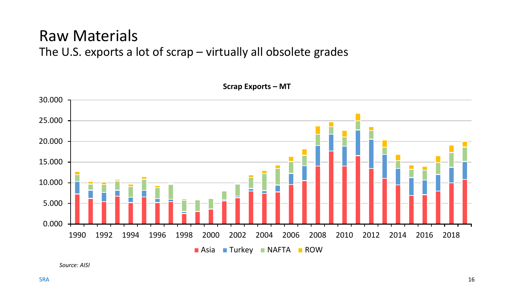#### Raw Materials The U.S. exports a lot of scrap – virtually all obsolete grades



**Scrap Exports – MT** 

*Source: AISI*